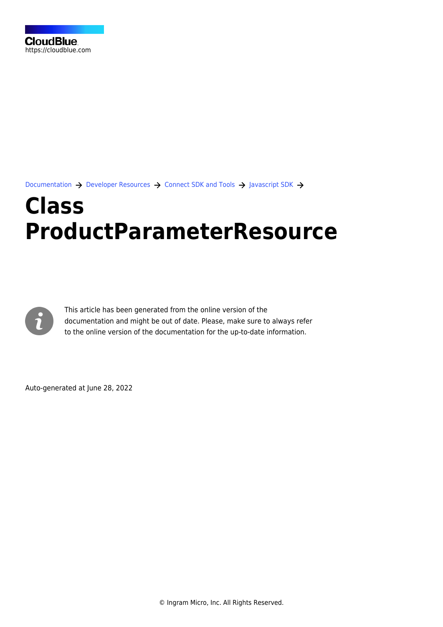[Documentation](https://connect.cloudblue.com/documentation)  $\rightarrow$  [Developer Resources](https://connect.cloudblue.com/community/developers/)  $\rightarrow$  [Connect SDK and Tools](https://connect.cloudblue.com/community/developers/sdk/)  $\rightarrow$  [Javascript SDK](https://connect.cloudblue.com/community/developers/sdk/javascript-sdk/)  $\rightarrow$ 

# **[Class](https://connect.cloudblue.com/community/developers/sdk/javascript-sdk/class-productparameterresource/) [ProductParameterResource](https://connect.cloudblue.com/community/developers/sdk/javascript-sdk/class-productparameterresource/)**



This article has been generated from the online version of the documentation and might be out of date. Please, make sure to always refer to the online version of the documentation for the up-to-date information.

Auto-generated at June 28, 2022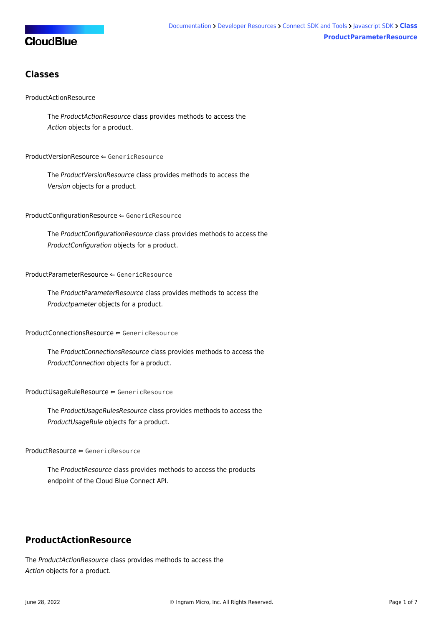# **CloudBlue**

# **Classes**

## [ProductActionResource](#page-1-0)

The ProductActionResource class provides methods to access the Action objects for a product.

#### [ProductVersionResource](#page-2-0) ⇐ GenericResource

The ProductVersionResource class provides methods to access the Version objects for a product.

[ProductConfigurationResource](#page-3-0) ⇐ GenericResource

The ProductConfigurationResource class provides methods to access the ProductConfiguration objects for a product.

#### [ProductParameterResource](#page-3-1) ⇐ GenericResource

The ProductParameterResource class provides methods to access the Productpameter objects for a product.

#### [ProductConnectionsResource](#page-3-2) ⇐ GenericResource

The ProductConnectionsResource class provides methods to access the ProductConnection objects for a product.

[ProductUsageRuleResource](#page-3-3) ⇐ GenericResource

The ProductUsageRulesResource class provides methods to access the ProductUsageRule objects for a product.

[ProductResource](#page-4-0) ⇐ GenericResource

The ProductResource class provides methods to access the products endpoint of the Cloud Blue Connect API.

# <span id="page-1-0"></span>**ProductActionResource**

The ProductActionResource class provides methods to access the Action objects for a product.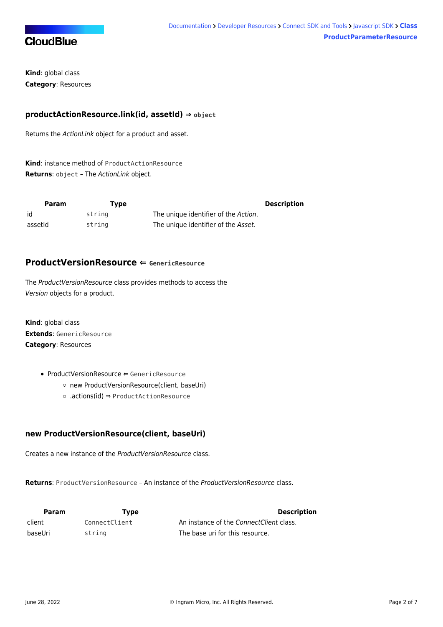

**Kind**: global class **Category**: Resources

## **productActionResource.link(id, assetId) ⇒ object**

Returns the ActionLink object for a product and asset.

**Kind**: instance method of [ProductActionResource](#page-1-0) **Returns**: object – The ActionLink object.

| Param   | Tvpe   |                                      | <b>Description</b> |
|---------|--------|--------------------------------------|--------------------|
| id      | strina | The unique identifier of the Action. |                    |
| assetid | string | The unique identifier of the Asset.  |                    |

# <span id="page-2-0"></span>**ProductVersionResource ⇐ GenericResource**

The ProductVersionResource class provides methods to access the Version objects for a product.

**Kind**: global class **Extends**: GenericResource **Category**: Resources

- [ProductVersionResource](#page-2-0) ← GenericResource
	- [new ProductVersionResource\(client, baseUri\)](#page-2-1)
	- [.actions\(id\)](#page-2-2) ⇒ [ProductActionResource](#page-1-0)

# <span id="page-2-1"></span>**new ProductVersionResource(client, baseUri)**

Creates a new instance of the ProductVersionResource class.

**Returns**: [ProductVersionResource](#page-2-0) – An instance of the ProductVersionResource class.

<span id="page-2-2"></span>

| <b>Param</b> | Tvpe          | <b>Description</b>                      |
|--------------|---------------|-----------------------------------------|
| client       | ConnectClient | An instance of the ConnectClient class. |
| baseUri      | string        | The base uri for this resource.         |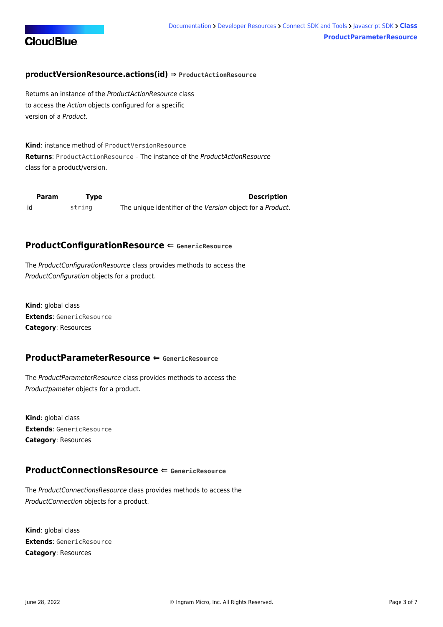

## **productVersionResource.actions(id) ⇒ [ProductActionResource](#page-1-0)**

Returns an instance of the ProductActionResource class to access the Action objects configured for a specific version of a Product.

**Kind**: instance method of [ProductVersionResource](#page-2-0) **Returns**: [ProductActionResource](#page-1-0) – The instance of the ProductActionResource class for a product/version.

<span id="page-3-0"></span>

| Param | Tvpe   | <b>Description</b>                                         |
|-------|--------|------------------------------------------------------------|
| id    | string | The unique identifier of the Version object for a Product. |

## **ProductConfigurationResource ⇐ GenericResource**

The ProductConfigurationResource class provides methods to access the ProductConfiguration objects for a product.

**Kind**: global class **Extends**: GenericResource **Category**: Resources

## <span id="page-3-1"></span>**ProductParameterResource ⇐ GenericResource**

The ProductParameterResource class provides methods to access the Productpameter objects for a product.

**Kind**: global class **Extends**: GenericResource **Category**: Resources

# <span id="page-3-2"></span>**ProductConnectionsResource ⇐ GenericResource**

The ProductConnectionsResource class provides methods to access the ProductConnection objects for a product.

<span id="page-3-3"></span>**Kind**: global class **Extends**: GenericResource **Category**: Resources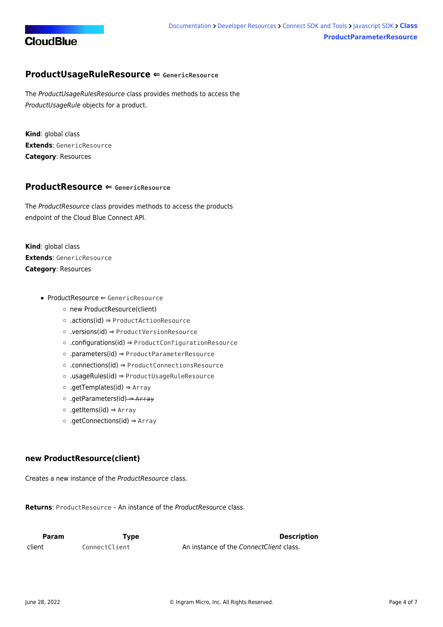

# **ProductUsageRuleResource ⇐ GenericResource**

The ProductUsageRulesResource class provides methods to access the ProductUsageRule objects for a product.

**Kind**: global class **Extends**: GenericResource **Category**: Resources

## <span id="page-4-0"></span>**ProductResource ⇐ GenericResource**

The ProductResource class provides methods to access the products endpoint of the Cloud Blue Connect API.

**Kind**: global class **Extends**: GenericResource **Category**: Resources

- [ProductResource](#page-4-0) ⇐ GenericResource
	- [new ProductResource\(client\)](#page-4-1)
	- [.actions\(id\)](#page-4-2) ⇒ [ProductActionResource](#page-1-0)
	- [.versions\(id\)](#page-5-0) ⇒ [ProductVersionResource](#page-2-0)
	- [.configurations\(id\)](#page-5-1) ⇒ [ProductConfigurationResource](#page-3-0)
	- [.parameters\(id\)](#page-5-2) ⇒ [ProductParameterResource](#page-3-1)
	- [.connections\(id\)](#page-6-0) ⇒ [ProductConnectionsResource](#page-3-2)
	- [.usageRules\(id\)](#page-6-1) ⇒ [ProductUsageRuleResource](#page-3-3)
	- [.getTemplates\(id\)](#page-6-2) ⇒ Array
	- [.getParameters\(id\)](#page-6-3) ⇒ Array
	- [.getItems\(id\)](#page-7-0) ⇒ Array
	- [.getConnections\(id\)](#page-7-1) ⇒ Array

## <span id="page-4-1"></span>**new ProductResource(client)**

Creates a new instance of the ProductResource class.

**Returns**: [ProductResource](#page-4-0) – An instance of the ProductResource class.

<span id="page-4-2"></span>

| <b>Param</b> | Tvpe          | <b>Description</b>                      |
|--------------|---------------|-----------------------------------------|
| client       | ConnectClient | An instance of the ConnectClient class. |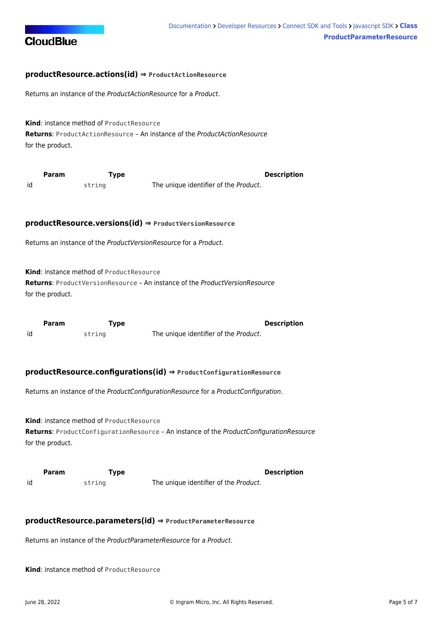

## **productResource.actions(id) ⇒ [ProductActionResource](#page-1-0)**

Returns an instance of the ProductActionResource for a Product.

**Kind**: instance method of [ProductResource](#page-4-0) **Returns**: [ProductActionResource](#page-1-0) – An instance of the ProductActionResource for the product.

<span id="page-5-0"></span>

|    | <b>Param</b> | Type   | <b>Description</b>                    |
|----|--------------|--------|---------------------------------------|
| id |              | string | The unique identifier of the Product. |

#### **productResource.versions(id) ⇒ [ProductVersionResource](#page-2-0)**

Returns an instance of the ProductVersionResource for a Product.

**Kind**: instance method of [ProductResource](#page-4-0)

**Returns**: [ProductVersionResource](#page-2-0) – An instance of the ProductVersionResource for the product.

<span id="page-5-1"></span>

|    | <b>Param</b> | Type   | <b>Description</b>                    |
|----|--------------|--------|---------------------------------------|
| id |              | string | The unique identifier of the Product. |

#### **productResource.configurations(id) ⇒ [ProductConfigurationResource](#page-3-0)**

Returns an instance of the ProductConfigurationResource for a ProductConfiguration.

**Kind**: instance method of [ProductResource](#page-4-0) **Returns**: [ProductConfigurationResource](#page-3-0) – An instance of the ProductConfigurationResource for the product.

<span id="page-5-2"></span>

|    | <b>Param</b> | Type   | <b>Description</b>                    |
|----|--------------|--------|---------------------------------------|
| id |              | string | The unique identifier of the Product. |

## **productResource.parameters(id) ⇒ [ProductParameterResource](#page-3-1)**

Returns an instance of the ProductParameterResource for a Product.

**Kind**: instance method of [ProductResource](#page-4-0)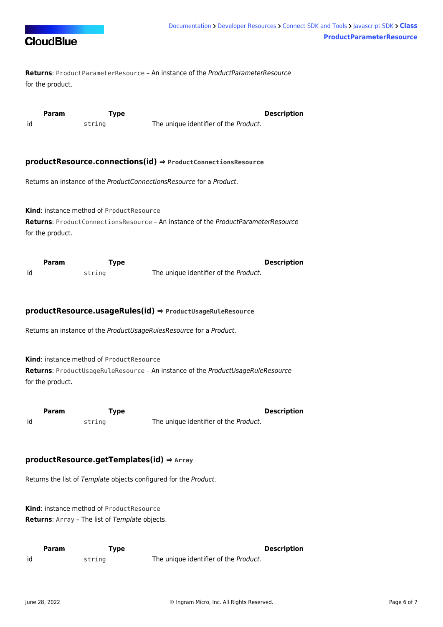

**Returns**: [ProductParameterResource](#page-3-1) – An instance of the ProductParameterResource for the product.

<span id="page-6-0"></span>

|    | Param | Type   |                                       | <b>Description</b> |
|----|-------|--------|---------------------------------------|--------------------|
| id |       | string | The unique identifier of the Product. |                    |

#### **productResource.connections(id) ⇒ [ProductConnectionsResource](#page-3-2)**

Returns an instance of the ProductConnectionsResource for a Product.

**Kind**: instance method of [ProductResource](#page-4-0) **Returns**: [ProductConnectionsResource](#page-3-2) – An instance of the ProductParameterResource for the product.

<span id="page-6-1"></span>

|    | Param | Type   |                                       | <b>Description</b> |
|----|-------|--------|---------------------------------------|--------------------|
| id |       | string | The unique identifier of the Product. |                    |

#### **productResource.usageRules(id) ⇒ [ProductUsageRuleResource](#page-3-3)**

Returns an instance of the ProductUsageRulesResource for a Product.

**Kind**: instance method of [ProductResource](#page-4-0)

**Returns**: [ProductUsageRuleResource](#page-3-3) – An instance of the ProductUsageRuleResource for the product.

<span id="page-6-2"></span>

|    | Param | rype   | <b>Description</b>                    |
|----|-------|--------|---------------------------------------|
| id |       | string | The unique identifier of the Product. |

## **productResource.getTemplates(id) ⇒ Array**

Returns the list of Template objects configured for the Product.

**Kind**: instance method of [ProductResource](#page-4-0) **Returns**: Array – The list of Template objects.

<span id="page-6-3"></span>

|    | <b>Param</b> | Type   |                                               | <b>Description</b> |
|----|--------------|--------|-----------------------------------------------|--------------------|
| id |              | strina | The unique identifier of the <i>Product</i> . |                    |